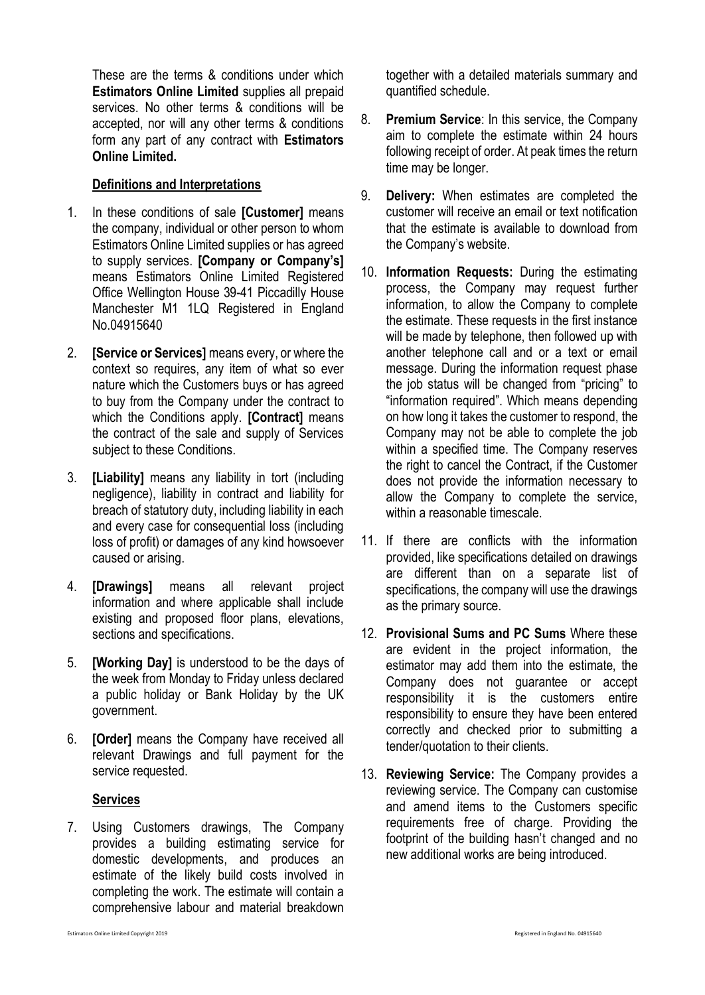These are the terms & conditions under which **Estimators Online Limited** supplies all prepaid services. No other terms & conditions will be accepted, nor will any other terms & conditions form any part of any contract with **Estimators Online Limited.**

## **Definitions and Interpretations**

- 1. In these conditions of sale **[Customer]** means the company, individual or other person to whom Estimators Online Limited supplies or has agreed to supply services. **[Company or Company's]** means Estimators Online Limited Registered Office Wellington House 39-41 Piccadilly House Manchester M1 1LQ Registered in England No.04915640
- 2. **[Service or Services]** means every, or where the context so requires, any item of what so ever nature which the Customers buys or has agreed to buy from the Company under the contract to which the Conditions apply. **[Contract]** means the contract of the sale and supply of Services subject to these Conditions.
- 3. **[Liability]** means any liability in tort (including negligence), liability in contract and liability for breach of statutory duty, including liability in each and every case for consequential loss (including loss of profit) or damages of any kind howsoever caused or arising.
- 4. **[Drawings]** means all relevant project information and where applicable shall include existing and proposed floor plans, elevations, sections and specifications.
- 5. **[Working Day]** is understood to be the days of the week from Monday to Friday unless declared a public holiday or Bank Holiday by the UK government.
- 6. **[Order]** means the Company have received all relevant Drawings and full payment for the service requested.

## **Services**

7. Using Customers drawings, The Company provides a building estimating service for domestic developments, and produces an estimate of the likely build costs involved in completing the work. The estimate will contain a comprehensive labour and material breakdown together with a detailed materials summary and quantified schedule.

- 8. **Premium Service**: In this service, the Company aim to complete the estimate within 24 hours following receipt of order. At peak times the return time may be longer.
- 9. **Delivery:** When estimates are completed the customer will receive an email or text notification that the estimate is available to download from the Company's website.
- 10. **Information Requests:** During the estimating process, the Company may request further information, to allow the Company to complete the estimate. These requests in the first instance will be made by telephone, then followed up with another telephone call and or a text or email message. During the information request phase the job status will be changed from "pricing" to "information required". Which means depending on how long it takes the customer to respond, the Company may not be able to complete the job within a specified time. The Company reserves the right to cancel the Contract, if the Customer does not provide the information necessary to allow the Company to complete the service, within a reasonable timescale.
- 11. If there are conflicts with the information provided, like specifications detailed on drawings are different than on a separate list of specifications, the company will use the drawings as the primary source.
- 12. **Provisional Sums and PC Sums** Where these are evident in the project information, the estimator may add them into the estimate, the Company does not guarantee or accept responsibility it is the customers entire responsibility to ensure they have been entered correctly and checked prior to submitting a tender/quotation to their clients.
- 13. **Reviewing Service:** The Company provides a reviewing service. The Company can customise and amend items to the Customers specific requirements free of charge. Providing the footprint of the building hasn't changed and no new additional works are being introduced.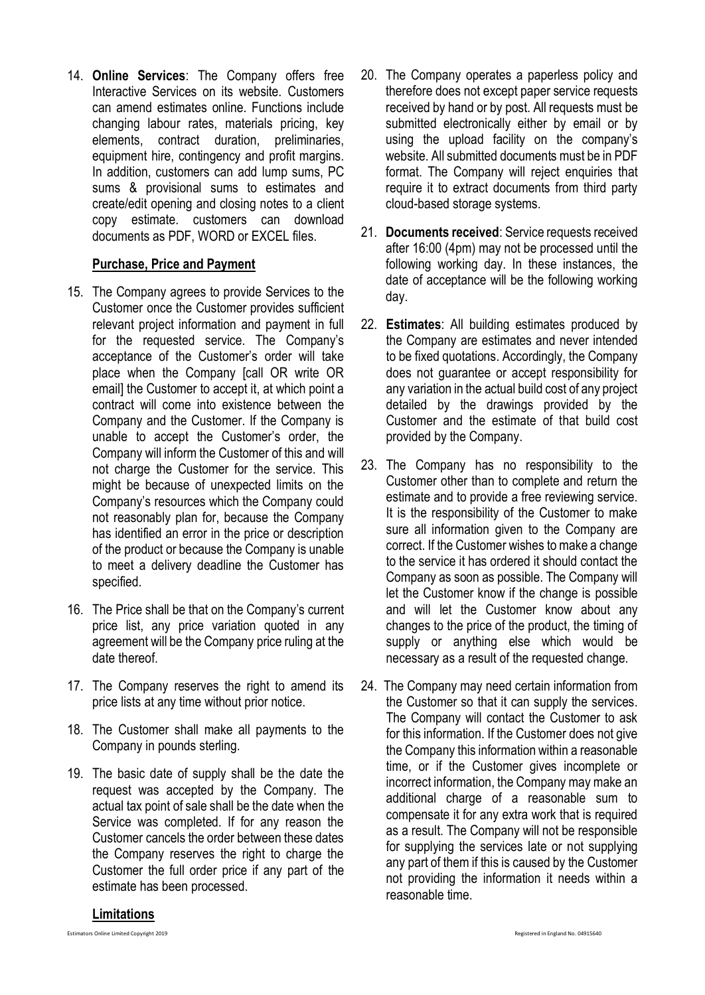14. **Online Services**: The Company offers free Interactive Services on its website. Customers can amend estimates online. Functions include changing labour rates, materials pricing, key elements, contract duration, preliminaries, equipment hire, contingency and profit margins. In addition, customers can add lump sums, PC sums & provisional sums to estimates and create/edit opening and closing notes to a client copy estimate. customers can download documents as PDF, WORD or EXCEL files.

## **Purchase, Price and Payment**

- 15. The Company agrees to provide Services to the Customer once the Customer provides sufficient relevant project information and payment in full for the requested service. The Company's acceptance of the Customer's order will take place when the Company [call OR write OR email] the Customer to accept it, at which point a contract will come into existence between the Company and the Customer. If the Company is unable to accept the Customer's order, the Company will inform the Customer of this and will not charge the Customer for the service. This might be because of unexpected limits on the Company's resources which the Company could not reasonably plan for, because the Company has identified an error in the price or description of the product or because the Company is unable to meet a delivery deadline the Customer has specified.
- 16. The Price shall be that on the Company's current price list, any price variation quoted in any agreement will be the Company price ruling at the date thereof.
- 17. The Company reserves the right to amend its price lists at any time without prior notice.
- 18. The Customer shall make all payments to the Company in pounds sterling.
- 19. The basic date of supply shall be the date the request was accepted by the Company. The actual tax point of sale shall be the date when the Service was completed. If for any reason the Customer cancels the order between these dates the Company reserves the right to charge the Customer the full order price if any part of the estimate has been processed.
- 20. The Company operates a paperless policy and therefore does not except paper service requests received by hand or by post. All requests must be submitted electronically either by email or by using the upload facility on the company's website. All submitted documents must be in PDF format. The Company will reject enquiries that require it to extract documents from third party cloud-based storage systems.
- 21. **Documents received**: Service requests received after 16:00 (4pm) may not be processed until the following working day. In these instances, the date of acceptance will be the following working day.
- 22. **Estimates**: All building estimates produced by the Company are estimates and never intended to be fixed quotations. Accordingly, the Company does not guarantee or accept responsibility for any variation in the actual build cost of any project detailed by the drawings provided by the Customer and the estimate of that build cost provided by the Company.
- 23. The Company has no responsibility to the Customer other than to complete and return the estimate and to provide a free reviewing service. It is the responsibility of the Customer to make sure all information given to the Company are correct. If the Customer wishes to make a change to the service it has ordered it should contact the Company as soon as possible. The Company will let the Customer know if the change is possible and will let the Customer know about any changes to the price of the product, the timing of supply or anything else which would be necessary as a result of the requested change.
- 24. The Company may need certain information from the Customer so that it can supply the services. The Company will contact the Customer to ask for this information. If the Customer does not give the Company this information within a reasonable time, or if the Customer gives incomplete or incorrect information, the Company may make an additional charge of a reasonable sum to compensate it for any extra work that is required as a result. The Company will not be responsible for supplying the services late or not supplying any part of them if this is caused by the Customer not providing the information it needs within a reasonable time.

## **Limitations**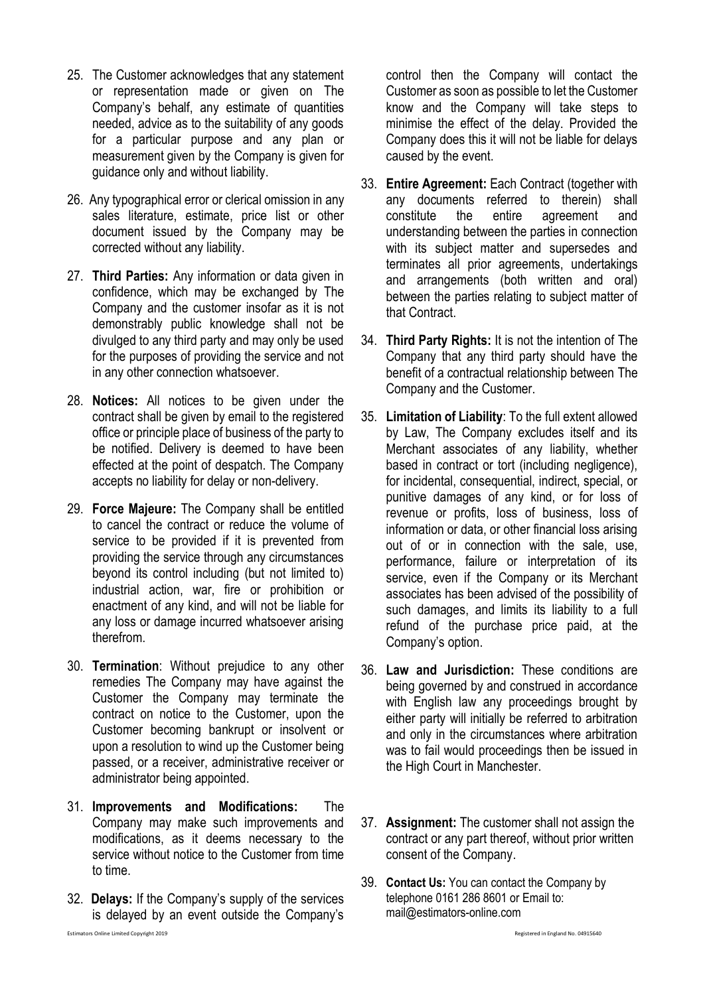- 25. The Customer acknowledges that any statement or representation made or given on The Company's behalf, any estimate of quantities needed, advice as to the suitability of any goods for a particular purpose and any plan or measurement given by the Company is given for guidance only and without liability.
- 26. Any typographical error or clerical omission in any sales literature, estimate, price list or other document issued by the Company may be corrected without any liability.
- 27. **Third Parties:** Any information or data given in confidence, which may be exchanged by The Company and the customer insofar as it is not demonstrably public knowledge shall not be divulged to any third party and may only be used for the purposes of providing the service and not in any other connection whatsoever.
- 28. **Notices:** All notices to be given under the contract shall be given by email to the registered office or principle place of business of the party to be notified. Delivery is deemed to have been effected at the point of despatch. The Company accepts no liability for delay or non-delivery.
- 29. **Force Majeure:** The Company shall be entitled to cancel the contract or reduce the volume of service to be provided if it is prevented from providing the service through any circumstances beyond its control including (but not limited to) industrial action, war, fire or prohibition or enactment of any kind, and will not be liable for any loss or damage incurred whatsoever arising therefrom.
- 30. **Termination**: Without prejudice to any other remedies The Company may have against the Customer the Company may terminate the contract on notice to the Customer, upon the Customer becoming bankrupt or insolvent or upon a resolution to wind up the Customer being passed, or a receiver, administrative receiver or administrator being appointed.
- 31. **Improvements and Modifications:** The Company may make such improvements and modifications, as it deems necessary to the service without notice to the Customer from time to time.
- 32. **Delays:** If the Company's supply of the services is delayed by an event outside the Company's

Estimators Online Limited Copyright 2019 Registered in England No. 04915640

control then the Company will contact the Customer as soon as possible to let the Customer know and the Company will take steps to minimise the effect of the delay. Provided the Company does this it will not be liable for delays caused by the event.

- 33. **Entire Agreement:** Each Contract (together with any documents referred to therein) shall constitute the entire agreement and understanding between the parties in connection with its subject matter and supersedes and terminates all prior agreements, undertakings and arrangements (both written and oral) between the parties relating to subject matter of that Contract.
- 34. **Third Party Rights:** It is not the intention of The Company that any third party should have the benefit of a contractual relationship between The Company and the Customer.
- 35. **Limitation of Liability**: To the full extent allowed by Law, The Company excludes itself and its Merchant associates of any liability, whether based in contract or tort (including negligence), for incidental, consequential, indirect, special, or punitive damages of any kind, or for loss of revenue or profits, loss of business, loss of information or data, or other financial loss arising out of or in connection with the sale, use, performance, failure or interpretation of its service, even if the Company or its Merchant associates has been advised of the possibility of such damages, and limits its liability to a full refund of the purchase price paid, at the Company's option.
- 36. **Law and Jurisdiction:** These conditions are being governed by and construed in accordance with English law any proceedings brought by either party will initially be referred to arbitration and only in the circumstances where arbitration was to fail would proceedings then be issued in the High Court in Manchester.
- 37. **Assignment:** The customer shall not assign the contract or any part thereof, without prior written consent of the Company.
- 39. **Contact Us:** You can contact the Company by telephone 0161 286 8601 or Email to: mail@estimators-online.com